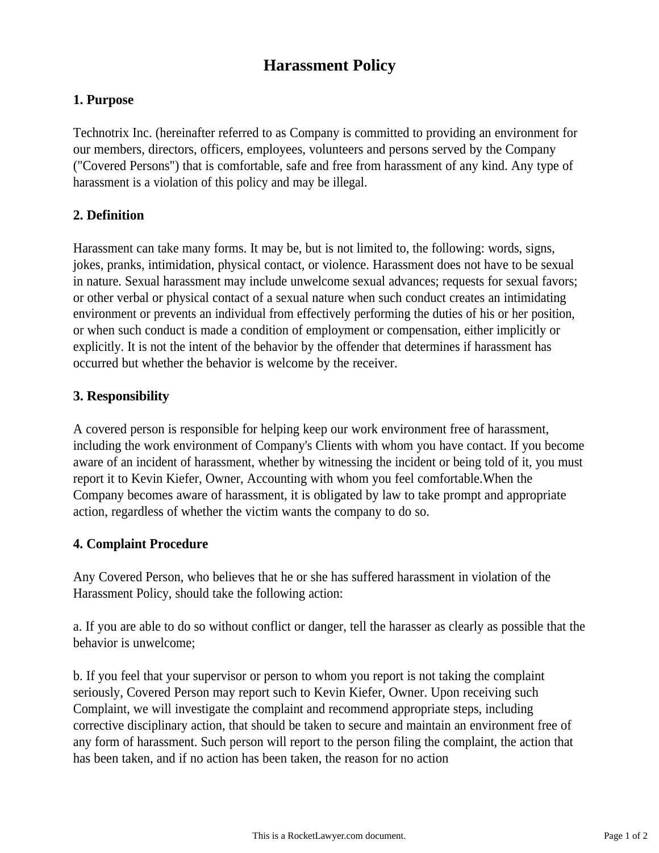# **Harassment Policy**

# **1. Purpose**

Technotrix Inc. (hereinafter referred to as Company is committed to providing an environment for our members, directors, officers, employees, volunteers and persons served by the Company ("Covered Persons") that is comfortable, safe and free from harassment of any kind. Any type of harassment is a violation of this policy and may be illegal.

# **2. Definition**

Harassment can take many forms. It may be, but is not limited to, the following: words, signs, jokes, pranks, intimidation, physical contact, or violence. Harassment does not have to be sexual in nature. Sexual harassment may include unwelcome sexual advances; requests for sexual favors; or other verbal or physical contact of a sexual nature when such conduct creates an intimidating environment or prevents an individual from effectively performing the duties of his or her position, or when such conduct is made a condition of employment or compensation, either implicitly or explicitly. It is not the intent of the behavior by the offender that determines if harassment has occurred but whether the behavior is welcome by the receiver.

# **3. Responsibility**

A covered person is responsible for helping keep our work environment free of harassment, including the work environment of Company's Clients with whom you have contact. If you become aware of an incident of harassment, whether by witnessing the incident or being told of it, you must report it to Kevin Kiefer, Owner, Accounting with whom you feel comfortable.When the Company becomes aware of harassment, it is obligated by law to take prompt and appropriate action, regardless of whether the victim wants the company to do so.

## **4. Complaint Procedure**

Any Covered Person, who believes that he or she has suffered harassment in violation of the Harassment Policy, should take the following action:

a. If you are able to do so without conflict or danger, tell the harasser as clearly as possible that the behavior is unwelcome;

b. If you feel that your supervisor or person to whom you report is not taking the complaint seriously, Covered Person may report such to Kevin Kiefer, Owner. Upon receiving such Complaint, we will investigate the complaint and recommend appropriate steps, including corrective disciplinary action, that should be taken to secure and maintain an environment free of any form of harassment. Such person will report to the person filing the complaint, the action that has been taken, and if no action has been taken, the reason for no action